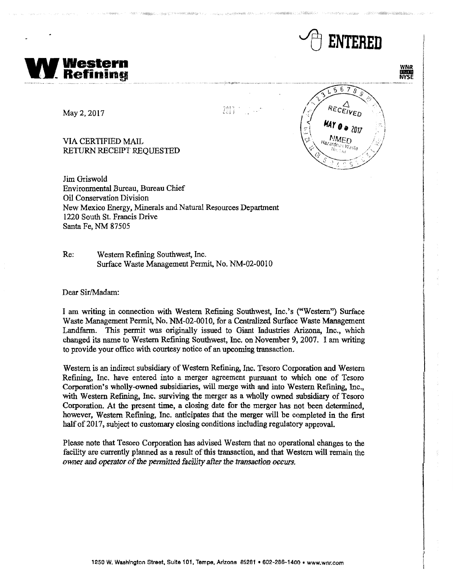

WNR<br>MYSE







May 2, 2017

VIA CERTIFIED MAIL RETURN RECEIPT REQUESTED

Jim Griswold Environmental Bureau, Bureau Chief Oil Conservation Division New Mexico Energy, Minerals and Natural Resources Department 1220 South St. Francis Drive Santa Fe, NM 87505

Re: Western Refining Southwest, Inc. Surface Waste Management Permit, No. NM-02-0010

Dear Sir/Madam:

I am writing in connection with Western Refining Southwest, Inc. 's ("Western") Surface Waste Management Permit, No. NM-02-0010, for a Centralized Surface Waste Management Landfann. This permit was originally issued to Giant Industries Arizona, Inc., which changed its name to Western Refining Southwest, Inc. on November 9, 2007. I am writing to provide your office with courtesy notice of an upcoming transaction.

Western is an indirect subsidiary of Western Refining, Inc. Tesoro Corporation and Western Refining, Inc. have entered into a merger agreement pursuant to which one of Tesoro Corporation's wholly-owned subsidiaries, will merge with and into Western Refining, Inc., with Western Refining, Inc. surviving the merger as a wholly owned subsidiary of Tesoro Corporation. At the present time, a closing date for the merger has not been determined, however, Western Refining, Inc. anticipates that the merger will be completed in the first half of 2017, subject to customary closing conditions including regulatory approval.

Please note that Tesoro Corporation has advised Western that no operational changes to the facility are currently planned as a result of this transaction, and that Western will remain the owner and operator of the permitted facility after the transaction occurs.